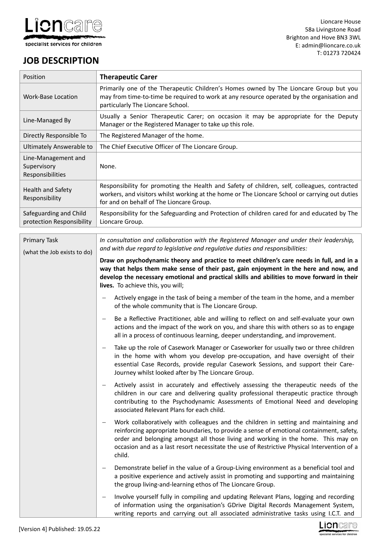

# **JOB DESCRIPTION**

 $\mathbf{r}$ 

| Position                                               | <b>Therapeutic Carer</b>                                                                                                                                                                                                                                                                                                                                                                            |
|--------------------------------------------------------|-----------------------------------------------------------------------------------------------------------------------------------------------------------------------------------------------------------------------------------------------------------------------------------------------------------------------------------------------------------------------------------------------------|
| <b>Work-Base Location</b>                              | Primarily one of the Therapeutic Children's Homes owned by The Lioncare Group but you<br>may from time-to-time be required to work at any resource operated by the organisation and<br>particularly The Lioncare School.                                                                                                                                                                            |
| Line-Managed By                                        | Usually a Senior Therapeutic Carer; on occasion it may be appropriate for the Deputy<br>Manager or the Registered Manager to take up this role.                                                                                                                                                                                                                                                     |
| Directly Responsible To                                | The Registered Manager of the home.                                                                                                                                                                                                                                                                                                                                                                 |
| <b>Ultimately Answerable to</b>                        | The Chief Executive Officer of The Lioncare Group.                                                                                                                                                                                                                                                                                                                                                  |
| Line-Management and<br>Supervisory<br>Responsibilities | None.                                                                                                                                                                                                                                                                                                                                                                                               |
| <b>Health and Safety</b><br>Responsibility             | Responsibility for promoting the Health and Safety of children, self, colleagues, contracted<br>workers, and visitors whilst working at the home or The Lioncare School or carrying out duties<br>for and on behalf of The Lioncare Group.                                                                                                                                                          |
| Safeguarding and Child<br>protection Responsibility    | Responsibility for the Safeguarding and Protection of children cared for and educated by The<br>Lioncare Group.                                                                                                                                                                                                                                                                                     |
| <b>Primary Task</b><br>(what the Job exists to do)     | In consultation and collaboration with the Registered Manager and under their leadership,<br>and with due regard to legislative and regulative duties and responsibilities:                                                                                                                                                                                                                         |
|                                                        | Draw on psychodynamic theory and practice to meet children's care needs in full, and in a<br>way that helps them make sense of their past, gain enjoyment in the here and now, and<br>develop the necessary emotional and practical skills and abilities to move forward in their<br>lives. To achieve this, you will;                                                                              |
|                                                        | Actively engage in the task of being a member of the team in the home, and a member<br>—<br>of the whole community that is The Lioncare Group.                                                                                                                                                                                                                                                      |
|                                                        | Be a Reflective Practitioner, able and willing to reflect on and self-evaluate your own<br>$\qquad \qquad -$<br>actions and the impact of the work on you, and share this with others so as to engage<br>all in a process of continuous learning, deeper understanding, and improvement.                                                                                                            |
|                                                        | Take up the role of Casework Manager or Caseworker for usually two or three children<br>—<br>in the home with whom you develop pre-occupation, and have oversight of their<br>essential Case Records, provide regular Casework Sessions, and support their Care-<br>Journey whilst looked after by The Lioncare Group.                                                                              |
|                                                        | Actively assist in accurately and effectively assessing the therapeutic needs of the<br>$\qquad \qquad -$<br>children in our care and delivering quality professional therapeutic practice through<br>contributing to the Psychodynamic Assessments of Emotional Need and developing<br>associated Relevant Plans for each child.                                                                   |
|                                                        | Work collaboratively with colleagues and the children in setting and maintaining and<br>$\qquad \qquad -$<br>reinforcing appropriate boundaries, to provide a sense of emotional containment, safety,<br>order and belonging amongst all those living and working in the home. This may on<br>occasion and as a last resort necessitate the use of Restrictive Physical Intervention of a<br>child. |
|                                                        | Demonstrate belief in the value of a Group-Living environment as a beneficial tool and<br>-<br>a positive experience and actively assist in promoting and supporting and maintaining<br>the group living-and-learning ethos of The Lioncare Group.                                                                                                                                                  |
|                                                        | Involve yourself fully in compiling and updating Relevant Plans, logging and recording<br>$\overline{\phantom{m}}$<br>of information using the organisation's GDrive Digital Records Management System,<br>writing reports and carrying out all associated administrative tasks using I.C.T. and                                                                                                    |

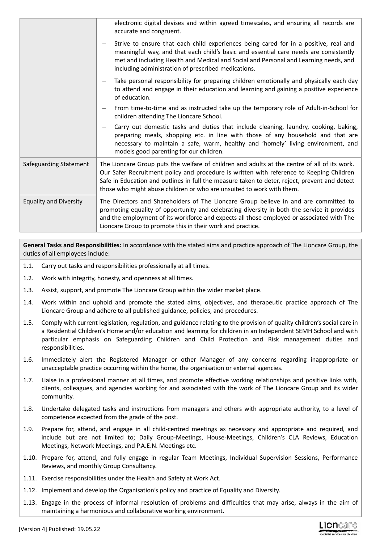|                               | electronic digital devises and within agreed timescales, and ensuring all records are<br>accurate and congruent.                                                                                                                                                                                                                                                   |
|-------------------------------|--------------------------------------------------------------------------------------------------------------------------------------------------------------------------------------------------------------------------------------------------------------------------------------------------------------------------------------------------------------------|
|                               | Strive to ensure that each child experiences being cared for in a positive, real and<br>meaningful way, and that each child's basic and essential care needs are consistently<br>met and including Health and Medical and Social and Personal and Learning needs, and<br>including administration of prescribed medications.                                       |
|                               | Take personal responsibility for preparing children emotionally and physically each day<br>to attend and engage in their education and learning and gaining a positive experience<br>of education.                                                                                                                                                                 |
|                               | From time-to-time and as instructed take up the temporary role of Adult-in-School for<br>children attending The Lioncare School.                                                                                                                                                                                                                                   |
|                               | Carry out domestic tasks and duties that include cleaning, laundry, cooking, baking,<br>-<br>preparing meals, shopping etc. in line with those of any household and that are<br>necessary to maintain a safe, warm, healthy and 'homely' living environment, and<br>models good parenting for our children.                                                        |
| Safeguarding Statement        | The Lioncare Group puts the welfare of children and adults at the centre of all of its work.<br>Our Safer Recruitment policy and procedure is written with reference to Keeping Children<br>Safe in Education and outlines in full the measure taken to deter, reject, prevent and detect<br>those who might abuse children or who are unsuited to work with them. |
| <b>Equality and Diversity</b> | The Directors and Shareholders of The Lioncare Group believe in and are committed to<br>promoting equality of opportunity and celebrating diversity in both the service it provides<br>and the employment of its workforce and expects all those employed or associated with The<br>Lioncare Group to promote this in their work and practice.                     |

**General Tasks and Responsibilities:** In accordance with the stated aims and practice approach of The Lioncare Group, the duties of all employees include:

- 1.1. Carry out tasks and responsibilities professionally at all times.
- 1.2. Work with integrity, honesty, and openness at all times.
- 1.3. Assist, support, and promote The Lioncare Group within the wider market place.
- 1.4. Work within and uphold and promote the stated aims, objectives, and therapeutic practice approach of The Lioncare Group and adhere to all published guidance, policies, and procedures.
- 1.5. Comply with current legislation, regulation, and guidance relating to the provision of quality children's social care in a Residential Children's Home and/or education and learning for children in an Independent SEMH School and with particular emphasis on Safeguarding Children and Child Protection and Risk management duties and responsibilities.
- 1.6. Immediately alert the Registered Manager or other Manager of any concerns regarding inappropriate or unacceptable practice occurring within the home, the organisation or external agencies.
- 1.7. Liaise in a professional manner at all times, and promote effective working relationships and positive links with, clients, colleagues, and agencies working for and associated with the work of The Lioncare Group and its wider community.
- 1.8. Undertake delegated tasks and instructions from managers and others with appropriate authority, to a level of competence expected from the grade of the post.
- 1.9. Prepare for, attend, and engage in all child-centred meetings as necessary and appropriate and required, and include but are not limited to; Daily Group-Meetings, House-Meetings, Children's CLA Reviews, Education Meetings, Network Meetings, and P.A.E.N. Meetings etc.
- 1.10. Prepare for, attend, and fully engage in regular Team Meetings, Individual Supervision Sessions, Performance Reviews, and monthly Group Consultancy.
- 1.11. Exercise responsibilities under the Health and Safety at Work Act.
- 1.12. Implement and develop the Organisation's policy and practice of Equality and Diversity.
- 1.13. Engage in the process of informal resolution of problems and difficulties that may arise, always in the aim of maintaining a harmonious and collaborative working environment.

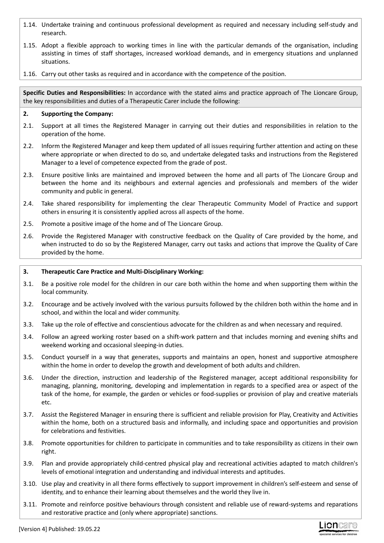- 1.14. Undertake training and continuous professional development as required and necessary including self-study and research.
- 1.15. Adopt a flexible approach to working times in line with the particular demands of the organisation, including assisting in times of staff shortages, increased workload demands, and in emergency situations and unplanned situations.
- 1.16. Carry out other tasks as required and in accordance with the competence of the position.

**Specific Duties and Responsibilities:** In accordance with the stated aims and practice approach of The Lioncare Group, the key responsibilities and duties of a Therapeutic Carer include the following:

# **2. Supporting the Company:**

- 2.1. Support at all times the Registered Manager in carrying out their duties and responsibilities in relation to the operation of the home.
- 2.2. Inform the Registered Manager and keep them updated of all issues requiring further attention and acting on these where appropriate or when directed to do so, and undertake delegated tasks and instructions from the Registered Manager to a level of competence expected from the grade of post.
- 2.3. Ensure positive links are maintained and improved between the home and all parts of The Lioncare Group and between the home and its neighbours and external agencies and professionals and members of the wider community and public in general.
- 2.4. Take shared responsibility for implementing the clear Therapeutic Community Model of Practice and support others in ensuring it is consistently applied across all aspects of the home.
- 2.5. Promote a positive image of the home and of The Lioncare Group.
- 2.6. Provide the Registered Manager with constructive feedback on the Quality of Care provided by the home, and when instructed to do so by the Registered Manager, carry out tasks and actions that improve the Quality of Care provided by the home.

## **3. Therapeutic Care Practice and Multi-Disciplinary Working:**

- 3.1. Be a positive role model for the children in our care both within the home and when supporting them within the local community.
- 3.2. Encourage and be actively involved with the various pursuits followed by the children both within the home and in school, and within the local and wider community.
- 3.3. Take up the role of effective and conscientious advocate for the children as and when necessary and required.
- 3.4. Follow an agreed working roster based on a shift-work pattern and that includes morning and evening shifts and weekend working and occasional sleeping-in duties.
- 3.5. Conduct yourself in a way that generates, supports and maintains an open, honest and supportive atmosphere within the home in order to develop the growth and development of both adults and children.
- 3.6. Under the direction, instruction and leadership of the Registered manager, accept additional responsibility for managing, planning, monitoring, developing and implementation in regards to a specified area or aspect of the task of the home, for example, the garden or vehicles or food-supplies or provision of play and creative materials etc.
- 3.7. Assist the Registered Manager in ensuring there is sufficient and reliable provision for Play, Creativity and Activities within the home, both on a structured basis and informally, and including space and opportunities and provision for celebrations and festivities.
- 3.8. Promote opportunities for children to participate in communities and to take responsibility as citizens in their own right.
- 3.9. Plan and provide appropriately child-centred physical play and recreational activities adapted to match children's levels of emotional integration and understanding and individual interests and aptitudes.
- 3.10. Use play and creativity in all there forms effectively to support improvement in children's self-esteem and sense of identity, and to enhance their learning about themselves and the world they live in.
- 3.11. Promote and reinforce positive behaviours through consistent and reliable use of reward-systems and reparations and restorative practice and (only where appropriate) sanctions.

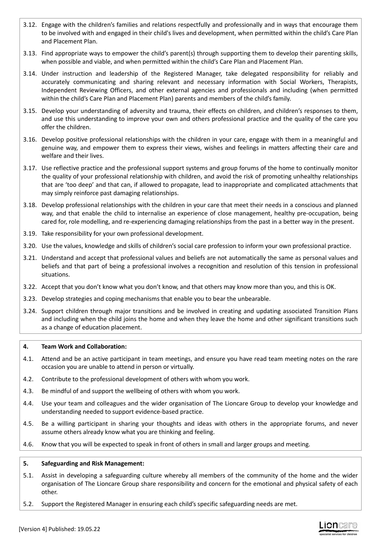- 3.12. Engage with the children's families and relations respectfully and professionally and in ways that encourage them to be involved with and engaged in their child's lives and development, when permitted within the child's Care Plan and Placement Plan.
- 3.13. Find appropriate ways to empower the child's parent(s) through supporting them to develop their parenting skills, when possible and viable, and when permitted within the child's Care Plan and Placement Plan.
- 3.14. Under instruction and leadership of the Registered Manager, take delegated responsibility for reliably and accurately communicating and sharing relevant and necessary information with Social Workers, Therapists, Independent Reviewing Officers, and other external agencies and professionals and including (when permitted within the child's Care Plan and Placement Plan) parents and members of the child's family.
- 3.15. Develop your understanding of adversity and trauma, their effects on children, and children's responses to them, and use this understanding to improve your own and others professional practice and the quality of the care you offer the children.
- 3.16. Develop positive professional relationships with the children in your care, engage with them in a meaningful and genuine way, and empower them to express their views, wishes and feelings in matters affecting their care and welfare and their lives.
- 3.17. Use reflective practice and the professional support systems and group forums of the home to continually monitor the quality of your professional relationship with children, and avoid the risk of promoting unhealthy relationships that are 'too deep' and that can, if allowed to propagate, lead to inappropriate and complicated attachments that may simply reinforce past damaging relationships.
- 3.18. Develop professional relationships with the children in your care that meet their needs in a conscious and planned way, and that enable the child to internalise an experience of close management, healthy pre-occupation, being cared for, role modelling, and re-experiencing damaging relationships from the past in a better way in the present.
- 3.19. Take responsibility for your own professional development.
- 3.20. Use the values, knowledge and skills of children's social care profession to inform your own professional practice.
- 3.21. Understand and accept that professional values and beliefs are not automatically the same as personal values and beliefs and that part of being a professional involves a recognition and resolution of this tension in professional situations.
- 3.22. Accept that you don't know what you don't know, and that others may know more than you, and this is OK.
- 3.23. Develop strategies and coping mechanisms that enable you to bear the unbearable.
- 3.24. Support children through major transitions and be involved in creating and updating associated Transition Plans and including when the child joins the home and when they leave the home and other significant transitions such as a change of education placement.

## **4. Team Work and Collaboration:**

- 4.1. Attend and be an active participant in team meetings, and ensure you have read team meeting notes on the rare occasion you are unable to attend in person or virtually.
- 4.2. Contribute to the professional development of others with whom you work.
- 4.3. Be mindful of and support the wellbeing of others with whom you work.
- 4.4. Use your team and colleagues and the wider organisation of The Lioncare Group to develop your knowledge and understanding needed to support evidence-based practice.
- 4.5. Be a willing participant in sharing your thoughts and ideas with others in the appropriate forums, and never assume others already know what you are thinking and feeling.
- 4.6. Know that you will be expected to speak in front of others in small and larger groups and meeting.

## **5. Safeguarding and Risk Management:**

- 5.1. Assist in developing a safeguarding culture whereby all members of the community of the home and the wider organisation of The Lioncare Group share responsibility and concern for the emotional and physical safety of each other.
- 5.2. Support the Registered Manager in ensuring each child's specific safeguarding needs are met.

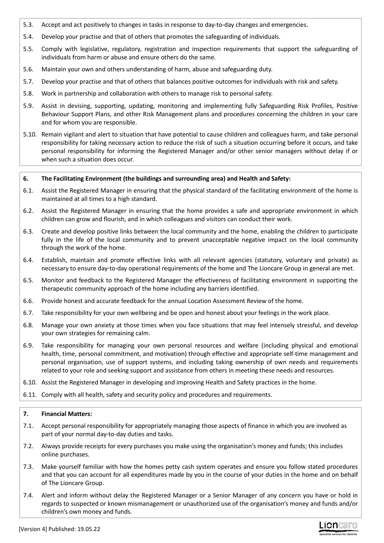- 5.3. Accept and act positively to changes in tasks in response to day-to-day changes and emergencies.
- 5.4. Develop your practise and that of others that promotes the safeguarding of individuals.
- 5.5. Comply with legislative, regulatory, registration and inspection requirements that support the safeguarding of individuals from harm or abuse and ensure others do the same.
- 5.6. Maintain your own and others understanding of harm, abuse and safeguarding duty.
- 5.7. Develop your practise and that of others that balances positive outcomes for individuals with risk and safety.
- 5.8. Work in partnership and collaboration with others to manage risk to personal safety.
- 5.9. Assist in devising, supporting, updating, monitoring and implementing fully Safeguarding Risk Profiles, Positive Behaviour Support Plans, and other Risk Management plans and procedures concerning the children in your care and for whom you are responsible.
- 5.10. Remain vigilant and alert to situation that have potential to cause children and colleagues harm, and take personal responsibility for taking necessary action to reduce the risk of such a situation occurring before it occurs, and take personal responsibility for informing the Registered Manager and/or other senior managers without delay if or when such a situation does occur.

## **6. The Facilitating Environment (the buildings and surrounding area) and Health and Safety:**

- 6.1. Assist the Registered Manager in ensuring that the physical standard of the facilitating environment of the home is maintained at all times to a high standard.
- 6.2. Assist the Registered Manager in ensuring that the home provides a safe and appropriate environment in which children can grow and flourish, and in which colleagues and visitors can conduct their work.
- 6.3. Create and develop positive links between the local community and the home, enabling the children to participate fully in the life of the local community and to prevent unacceptable negative impact on the local community through the work of the home.
- 6.4. Establish, maintain and promote effective links with all relevant agencies (statutory, voluntary and private) as necessary to ensure day-to-day operational requirements of the home and The Lioncare Group in general are met.
- 6.5. Monitor and feedback to the Registered Manager the effectiveness of facilitating environment in supporting the therapeutic community approach of the home including any barriers identified.
- 6.6. Provide honest and accurate feedback for the annual Location Assessment Review of the home.
- 6.7. Take responsibility for your own wellbeing and be open and honest about your feelings in the work place.
- 6.8. Manage your own anxiety at those times when you face situations that may feel intensely stressful, and develop your own strategies for remaining calm.
- 6.9. Take responsibility for managing your own personal resources and welfare (including physical and emotional health, time, personal commitment, and motivation) through effective and appropriate self-time management and personal organisation, use of support systems, and including taking ownership of own needs and requirements related to your role and seeking support and assistance from others in meeting these needs and resources.
- 6.10. Assist the Registered Manager in developing and improving Health and Safety practices in the home.
- 6.11. Comply with all health, safety and security policy and procedures and requirements.

## **7. Financial Matters:**

- 7.1. Accept personal responsibility for appropriately managing those aspects of finance in which you are involved as part of your normal day-to-day duties and tasks.
- 7.2. Always provide receipts for every purchases you make using the organisation's money and funds; this includes online purchases.
- 7.3. Make yourself familiar with how the homes petty cash system operates and ensure you follow stated procedures and that you can account for all expenditures made by you in the course of your duties in the home and on behalf of The Lioncare Group.
- 7.4. Alert and inform without delay the Registered Manager or a Senior Manager of any concern you have or hold in regards to suspected or known mismanagement or unauthorized use of the organisation's money and funds and/or children's own money and funds.

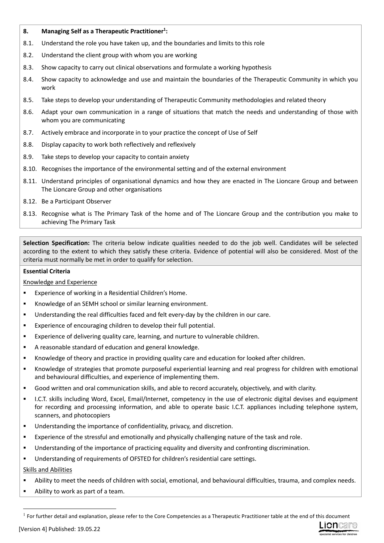## **8. Managing Self as a Therapeutic Practitioner<sup>1</sup> :**

- 8.1. Understand the role you have taken up, and the boundaries and limits to this role
- 8.2. Understand the client group with whom you are working
- 8.3. Show capacity to carry out clinical observations and formulate a working hypothesis
- 8.4. Show capacity to acknowledge and use and maintain the boundaries of the Therapeutic Community in which you work
- 8.5. Take steps to develop your understanding of Therapeutic Community methodologies and related theory
- 8.6. Adapt your own communication in a range of situations that match the needs and understanding of those with whom you are communicating
- 8.7. Actively embrace and incorporate in to your practice the concept of Use of Self
- 8.8. Display capacity to work both reflectively and reflexively
- 8.9. Take steps to develop your capacity to contain anxiety
- 8.10. Recognises the importance of the environmental setting and of the external environment
- 8.11. Understand principles of organisational dynamics and how they are enacted in The Lioncare Group and between The Lioncare Group and other organisations
- 8.12. Be a Participant Observer
- 8.13. Recognise what is The Primary Task of the home and of The Lioncare Group and the contribution you make to achieving The Primary Task

**Selection Specification:** The criteria below indicate qualities needed to do the job well. Candidates will be selected according to the extent to which they satisfy these criteria. Evidence of potential will also be considered. Most of the criteria must normally be met in order to qualify for selection.

## **Essential Criteria**

#### Knowledge and Experience

- Experience of working in a Residential Children's Home.
- Knowledge of an SEMH school or similar learning environment.
- Understanding the real difficulties faced and felt every-day by the children in our care.
- Experience of encouraging children to develop their full potential.
- Experience of delivering quality care, learning, and nurture to vulnerable children.
- A reasonable standard of education and general knowledge.
- Knowledge of theory and practice in providing quality care and education for looked after children.
- Knowledge of strategies that promote purposeful experiential learning and real progress for children with emotional and behavioural difficulties, and experience of implementing them.
- Good written and oral communication skills, and able to record accurately, objectively, and with clarity.
- I.C.T. skills including Word, Excel, Email/Internet, competency in the use of electronic digital devises and equipment for recording and processing information, and able to operate basic I.C.T. appliances including telephone system, scanners, and photocopiers
- Understanding the importance of confidentiality, privacy, and discretion.
- Experience of the stressful and emotionally and physically challenging nature of the task and role.
- Understanding of the importance of practicing equality and diversity and confronting discrimination.
- Understanding of requirements of OFSTED for children's residential care settings.

## Skills and Abilities

- Ability to meet the needs of children with social, emotional, and behavioural difficulties, trauma, and complex needs.
- Ability to work as part of a team.



 $<sup>1</sup>$  For further detail and explanation, please refer to the Core Competencies as a Therapeutic Practitioner table at the end of this document</sup>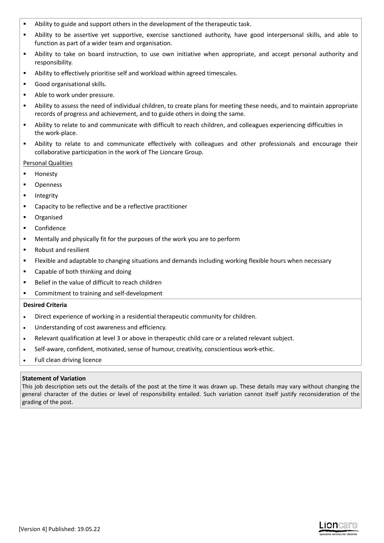- Ability to guide and support others in the development of the therapeutic task.
- Ability to be assertive yet supportive, exercise sanctioned authority, have good interpersonal skills, and able to function as part of a wider team and organisation.
- Ability to take on board instruction, to use own initiative when appropriate, and accept personal authority and responsibility.
- Ability to effectively prioritise self and workload within agreed timescales.
- Good organisational skills.
- Able to work under pressure.
- Ability to assess the need of individual children, to create plans for meeting these needs, and to maintain appropriate records of progress and achievement, and to guide others in doing the same.
- Ability to relate to and communicate with difficult to reach children, and colleagues experiencing difficulties in the work-place.
- Ability to relate to and communicate effectively with colleagues and other professionals and encourage their collaborative participation in the work of The Lioncare Group.

## Personal Qualities

- Honesty
- Openness
- Integrity
- Capacity to be reflective and be a reflective practitioner
- Organised
- Confidence
- Mentally and physically fit for the purposes of the work you are to perform
- Robust and resilient
- Flexible and adaptable to changing situations and demands including working flexible hours when necessary
- Capable of both thinking and doing
- Belief in the value of difficult to reach children
- **EXECOMMITMENT TO THE COMMITMENT** COMMITMENT COMMITMENT COMMISSION

#### **Desired Criteria**

- Direct experience of working in a residential therapeutic community for children.
- Understanding of cost awareness and efficiency.
- Relevant qualification at level 3 or above in therapeutic child care or a related relevant subject.
- Self-aware, confident, motivated, sense of humour, creativity, conscientious work-ethic.
- Full clean driving licence

## **Statement of Variation**

This job description sets out the details of the post at the time it was drawn up. These details may vary without changing the general character of the duties or level of responsibility entailed. Such variation cannot itself justify reconsideration of the grading of the post.